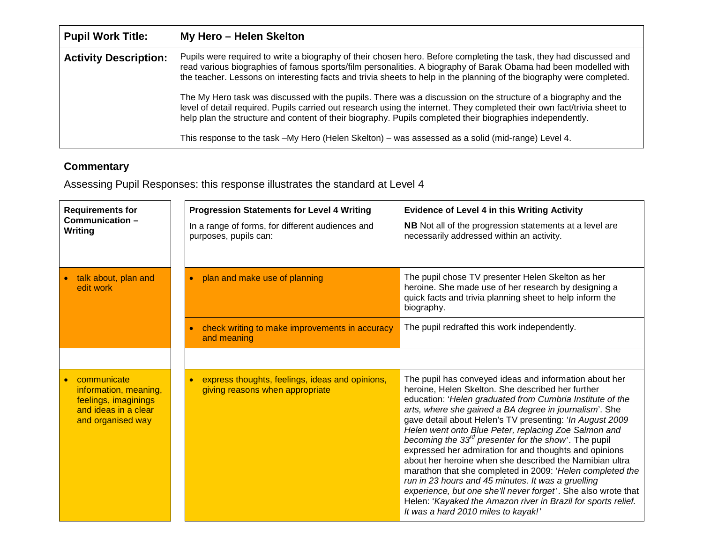| <b>Pupil Work Title:</b>     | My Hero - Helen Skelton                                                                                                                                                                                                                                                                                                                                                                                                                                                                                                                                                                                                                                                                                                 |
|------------------------------|-------------------------------------------------------------------------------------------------------------------------------------------------------------------------------------------------------------------------------------------------------------------------------------------------------------------------------------------------------------------------------------------------------------------------------------------------------------------------------------------------------------------------------------------------------------------------------------------------------------------------------------------------------------------------------------------------------------------------|
| <b>Activity Description:</b> | Pupils were required to write a biography of their chosen hero. Before completing the task, they had discussed and<br>read various biographies of famous sports/film personalities. A biography of Barak Obama had been modelled with<br>the teacher. Lessons on interesting facts and trivia sheets to help in the planning of the biography were completed.<br>The My Hero task was discussed with the pupils. There was a discussion on the structure of a biography and the<br>level of detail required. Pupils carried out research using the internet. They completed their own fact/trivia sheet to<br>help plan the structure and content of their biography. Pupils completed their biographies independently. |
|                              | This response to the task -My Hero (Helen Skelton) - was assessed as a solid (mid-range) Level 4.                                                                                                                                                                                                                                                                                                                                                                                                                                                                                                                                                                                                                       |

## **Commentary**

J.

Assessing Pupil Responses: this response illustrates the standard at Level 4

| <b>Requirements for</b><br>Communication-<br>Writing                                                      | <b>Progression Statements for Level 4 Writing</b><br>In a range of forms, for different audiences and | <b>Evidence of Level 4 in this Writing Activity</b><br>NB Not all of the progression statements at a level are                                                                                                                                                                                                                                                                                                                                                                                                                                                                                                                                                                                                                                                                                                                    |
|-----------------------------------------------------------------------------------------------------------|-------------------------------------------------------------------------------------------------------|-----------------------------------------------------------------------------------------------------------------------------------------------------------------------------------------------------------------------------------------------------------------------------------------------------------------------------------------------------------------------------------------------------------------------------------------------------------------------------------------------------------------------------------------------------------------------------------------------------------------------------------------------------------------------------------------------------------------------------------------------------------------------------------------------------------------------------------|
|                                                                                                           | purposes, pupils can:                                                                                 | necessarily addressed within an activity.                                                                                                                                                                                                                                                                                                                                                                                                                                                                                                                                                                                                                                                                                                                                                                                         |
| talk about, plan and<br>edit work                                                                         | plan and make use of planning                                                                         | The pupil chose TV presenter Helen Skelton as her<br>heroine. She made use of her research by designing a<br>quick facts and trivia planning sheet to help inform the<br>biography.                                                                                                                                                                                                                                                                                                                                                                                                                                                                                                                                                                                                                                               |
|                                                                                                           | check writing to make improvements in accuracy<br>and meaning                                         | The pupil redrafted this work independently.                                                                                                                                                                                                                                                                                                                                                                                                                                                                                                                                                                                                                                                                                                                                                                                      |
|                                                                                                           |                                                                                                       |                                                                                                                                                                                                                                                                                                                                                                                                                                                                                                                                                                                                                                                                                                                                                                                                                                   |
| communicate<br>information, meaning,<br>feelings, imaginings<br>and ideas in a clear<br>and organised way | express thoughts, feelings, ideas and opinions,<br>giving reasons when appropriate                    | The pupil has conveyed ideas and information about her<br>heroine, Helen Skelton. She described her further<br>education: 'Helen graduated from Cumbria Institute of the<br>arts, where she gained a BA degree in journalism'. She<br>gave detail about Helen's TV presenting: 'In August 2009<br>Helen went onto Blue Peter, replacing Zoe Salmon and<br>becoming the $33rd$ presenter for the show'. The pupil<br>expressed her admiration for and thoughts and opinions<br>about her heroine when she described the Namibian ultra<br>marathon that she completed in 2009: 'Helen completed the<br>run in 23 hours and 45 minutes. It was a gruelling<br>experience, but one she'll never forget'. She also wrote that<br>Helen: 'Kayaked the Amazon river in Brazil for sports relief.<br>It was a hard 2010 miles to kayak!' |